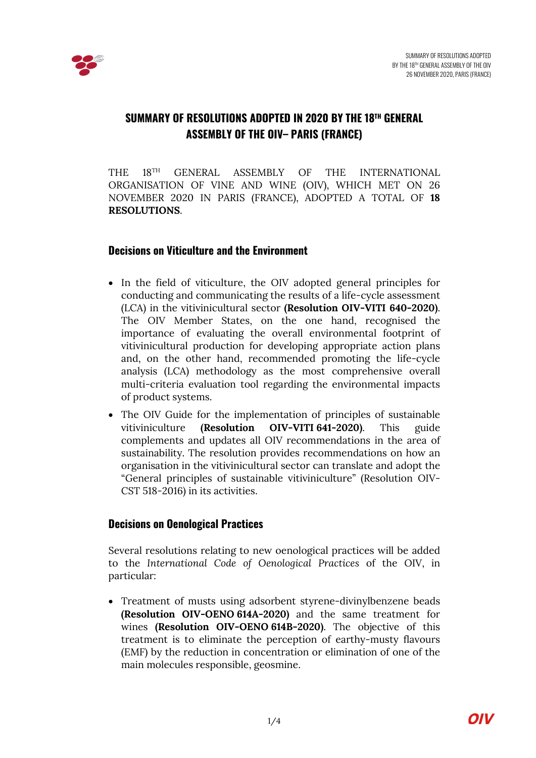

# **SUMMARY OF RESOLUTIONS ADOPTED IN 2020 BY THE 18TH GENERAL ASSEMBLY OF THE OIV– PARIS (FRANCE)**

THE 18TH GENERAL ASSEMBLY OF THE INTERNATIONAL ORGANISATION OF VINE AND WINE (OIV), WHICH MET ON 26 NOVEMBER 2020 IN PARIS (FRANCE), ADOPTED A TOTAL OF **18 RESOLUTIONS**.

### **Decisions on Viticulture and the Environment**

- In the field of viticulture, the OIV adopted general principles for conducting and communicating the results of a life-cycle assessment (LCA) in the vitivinicultural sector **(Resolution OIV-VITI 640-2020)**. The OIV Member States, on the one hand, recognised the importance of evaluating the overall environmental footprint of vitivinicultural production for developing appropriate action plans and, on the other hand, recommended promoting the life-cycle analysis (LCA) methodology as the most comprehensive overall multi-criteria evaluation tool regarding the environmental impacts of product systems.
- The OIV Guide for the implementation of principles of sustainable vitiviniculture **(Resolution OIV-VITI 641-2020)**. This guide complements and updates all OIV recommendations in the area of sustainability. The resolution provides recommendations on how an organisation in the vitivinicultural sector can translate and adopt the "General principles of sustainable vitiviniculture" (Resolution OIV-CST 518-2016) in its activities.

### **Decisions on Oenological Practices**

Several resolutions relating to new oenological practices will be added to the *International Code of Oenological Practices* of the OIV, in particular:

• Treatment of musts using adsorbent styrene-divinylbenzene beads **(Resolution OIV-OENO 614A-2020)** and the same treatment for wines **(Resolution OIV-OENO 614B-2020)**. The objective of this treatment is to eliminate the perception of earthy-musty flavours (EMF) by the reduction in concentration or elimination of one of the main molecules responsible, geosmine.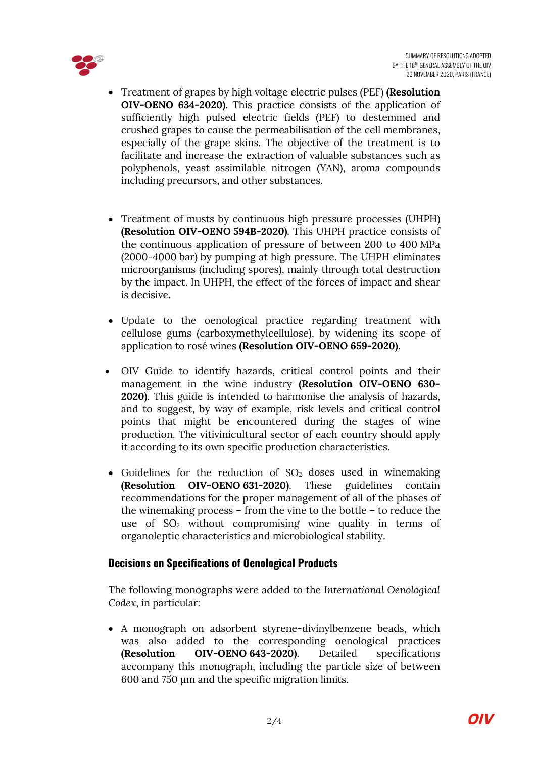

- Treatment of grapes by high voltage electric pulses (PEF) **(Resolution OIV-OENO 634-2020)**. This practice consists of the application of sufficiently high pulsed electric fields (PEF) to destemmed and crushed grapes to cause the permeabilisation of the cell membranes, especially of the grape skins. The objective of the treatment is to facilitate and increase the extraction of valuable substances such as polyphenols, yeast assimilable nitrogen (YAN), aroma compounds including precursors, and other substances.
- Treatment of musts by continuous high pressure processes (UHPH) **(Resolution OIV-OENO 594B-2020)**. This UHPH practice consists of the continuous application of pressure of between 200 to 400 MPa (2000-4000 bar) by pumping at high pressure. The UHPH eliminates microorganisms (including spores), mainly through total destruction by the impact. In UHPH, the effect of the forces of impact and shear is decisive.
- Update to the oenological practice regarding treatment with cellulose gums (carboxymethylcellulose), by widening its scope of application to rosé wines **(Resolution OIV-OENO 659-2020)**.
- OIV Guide to identify hazards, critical control points and their management in the wine industry **(Resolution OIV-OENO 630- 2020)**. This guide is intended to harmonise the analysis of hazards, and to suggest, by way of example, risk levels and critical control points that might be encountered during the stages of wine production. The vitivinicultural sector of each country should apply it according to its own specific production characteristics.
- Guidelines for the reduction of  $SO<sub>2</sub>$  doses used in winemaking **(Resolution OIV-OENO 631-2020)**. These guidelines contain recommendations for the proper management of all of the phases of the winemaking process – from the vine to the bottle – to reduce the use of  $SO<sub>2</sub>$  without compromising wine quality in terms of organoleptic characteristics and microbiological stability.

## **Decisions on Specifications of Oenological Products**

The following monographs were added to the *International Oenological Codex*, in particular:

• A monograph on adsorbent styrene-divinylbenzene beads, which was also added to the corresponding oenological practices **(Resolution OIV-OENO 643-2020)**. Detailed specifications accompany this monograph, including the particle size of between 600 and 750 μm and the specific migration limits.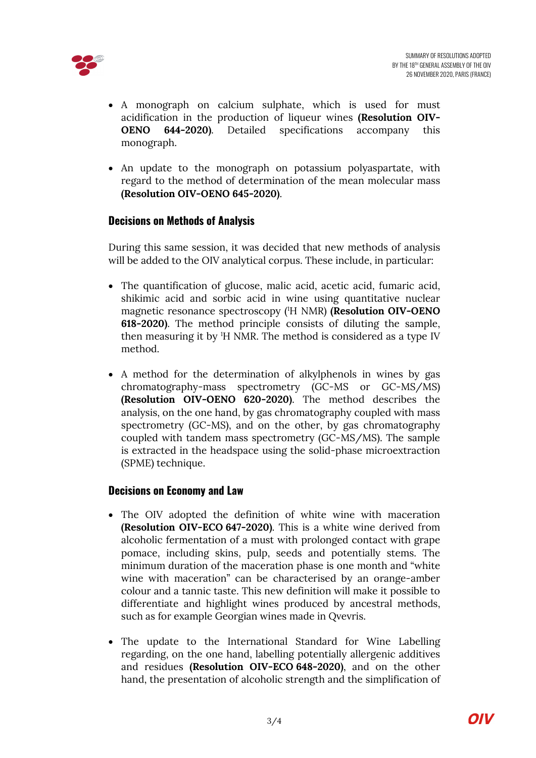

- A monograph on calcium sulphate, which is used for must acidification in the production of liqueur wines **(Resolution OIV-OENO 644-2020)**. Detailed specifications accompany this monograph.
- An update to the monograph on potassium polyaspartate, with regard to the method of determination of the mean molecular mass **(Resolution OIV-OENO 645-2020)**.

### **Decisions on Methods of Analysis**

During this same session, it was decided that new methods of analysis will be added to the OIV analytical corpus. These include, in particular:

- The quantification of glucose, malic acid, acetic acid, fumaric acid, shikimic acid and sorbic acid in wine using quantitative nuclear magnetic resonance spectroscopy (1 H NMR) **(Resolution OIV-OENO 618-2020)**. The method principle consists of diluting the sample, then measuring it by <sup>1</sup>H NMR. The method is considered as a type IV method.
- A method for the determination of alkylphenols in wines by gas chromatography-mass spectrometry (GC-MS or GC-MS/MS) **(Resolution OIV-OENO 620-2020)**. The method describes the analysis, on the one hand, by gas chromatography coupled with mass spectrometry (GC-MS), and on the other, by gas chromatography coupled with tandem mass spectrometry (GC-MS/MS). The sample is extracted in the headspace using the solid-phase microextraction (SPME) technique.

### **Decisions on Economy and Law**

- The OIV adopted the definition of white wine with maceration **(Resolution OIV-ECO 647-2020)**. This is a white wine derived from alcoholic fermentation of a must with prolonged contact with grape pomace, including skins, pulp, seeds and potentially stems. The minimum duration of the maceration phase is one month and "white wine with maceration" can be characterised by an orange-amber colour and a tannic taste. This new definition will make it possible to differentiate and highlight wines produced by ancestral methods, such as for example Georgian wines made in Qvevris.
- The update to the International Standard for Wine Labelling regarding, on the one hand, labelling potentially allergenic additives and residues **(Resolution OIV-ECO 648-2020)**, and on the other hand, the presentation of alcoholic strength and the simplification of